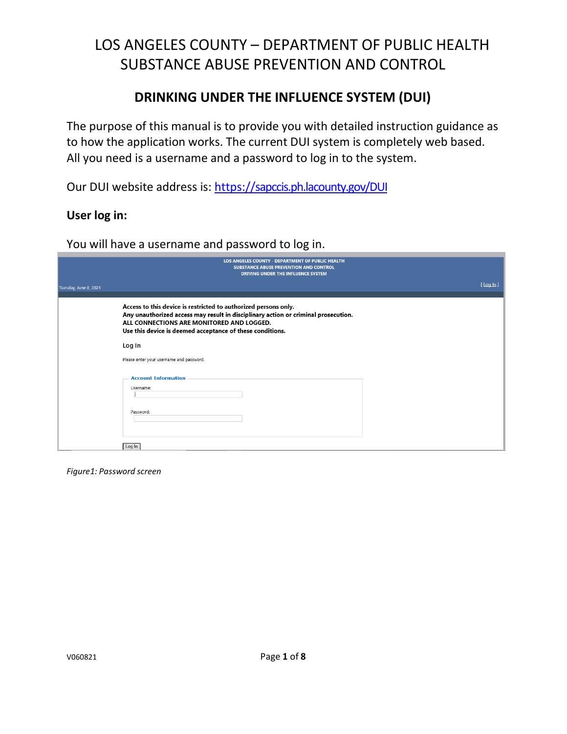### **DRINKING UNDER THE INFLUENCE SYSTEM (DUI)**

The purpose of this manual is to provide you with detailed instruction guidance as to how the application works. The current DUI system is completely web based. All you need is a username and a password to log in to the system.

Our DUI website address is:<https://sapccis.ph.lacounty.gov/DUI>

#### **User log in:**

You will have a username and password to log in.

|                       | LOS ANGELES COUNTY - DEPARTMENT OF PUBLIC HEALTH<br><b>SUBSTANCE ABUSE PREVENTION AND CONTROL</b><br>DRIVING UNDER THE INFLUENCE SYSTEM                                                                                                                         |               |
|-----------------------|-----------------------------------------------------------------------------------------------------------------------------------------------------------------------------------------------------------------------------------------------------------------|---------------|
| Tuesday, June 8, 2021 |                                                                                                                                                                                                                                                                 | $[$ Log $ln]$ |
|                       | Access to this device is restricted to authorized persons only.<br>Any unauthorized access may result in disciplinary action or criminal prosecution.<br>ALL CONNECTIONS ARE MONITORED AND LOGGED.<br>Use this device is deemed acceptance of these conditions. |               |
|                       | Log In                                                                                                                                                                                                                                                          |               |
|                       | Please enter your username and password.                                                                                                                                                                                                                        |               |
|                       | <b>Account Information</b><br>Username:<br>Password:                                                                                                                                                                                                            |               |
|                       | Log In                                                                                                                                                                                                                                                          |               |

*Figure1: Password screen*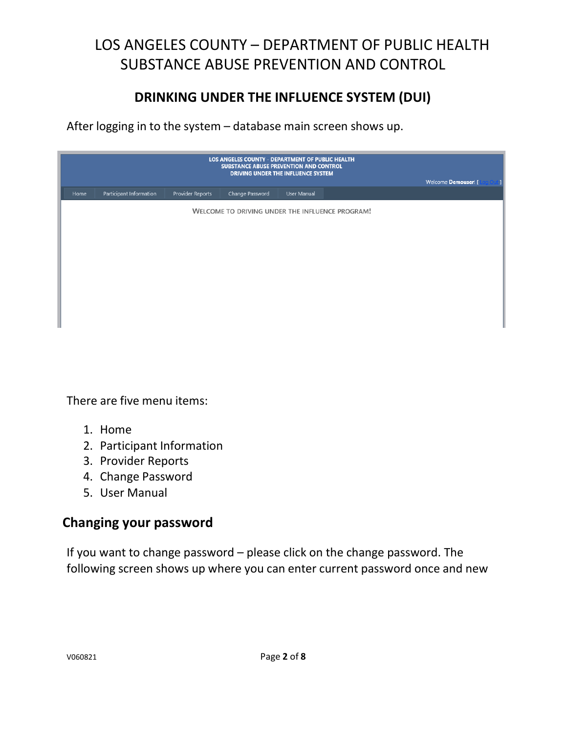## **DRINKING UNDER THE INFLUENCE SYSTEM (DUI)**

After logging in to the system – database main screen shows up.

|      | Welcome Demouser! [     |                  |                                                 |             |  |  |
|------|-------------------------|------------------|-------------------------------------------------|-------------|--|--|
| Home | Participant Information | Provider Reports | Change Password                                 | User Manual |  |  |
|      |                         |                  | WELCOME TO DRIVING UNDER THE INFLUENCE PROGRAM! |             |  |  |
|      |                         |                  |                                                 |             |  |  |
|      |                         |                  |                                                 |             |  |  |
|      |                         |                  |                                                 |             |  |  |
|      |                         |                  |                                                 |             |  |  |
|      |                         |                  |                                                 |             |  |  |
|      |                         |                  |                                                 |             |  |  |
|      |                         |                  |                                                 |             |  |  |
|      |                         |                  |                                                 |             |  |  |

There are five menu items:

- 1. Home
- 2. Participant Information
- 3. Provider Reports
- 4. Change Password
- 5. User Manual

### **Changing your password**

If you want to change password – please click on the change password. The following screen shows up where you can enter current password once and new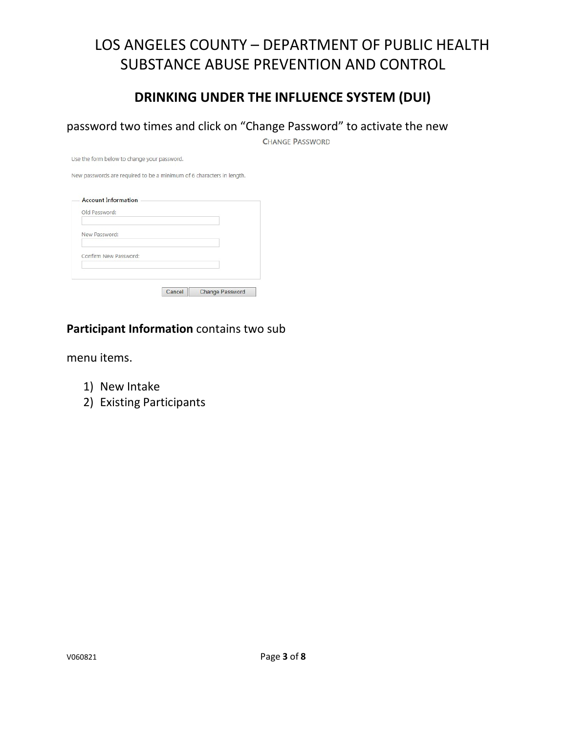### **DRINKING UNDER THE INFLUENCE SYSTEM (DUI)**

password two times and click on "Change Password" to activate the new

**CHANGE PASSWORD** 

Use the form below to change your password.

New passwords are required to be a minimum of 6 characters in length.

| Old Password:         |  |  |
|-----------------------|--|--|
|                       |  |  |
| New Password:         |  |  |
|                       |  |  |
| Confirm New Password: |  |  |
|                       |  |  |
|                       |  |  |

### **Participant Information** contains two sub

menu items.

- 1) New Intake
- 2) Existing Participants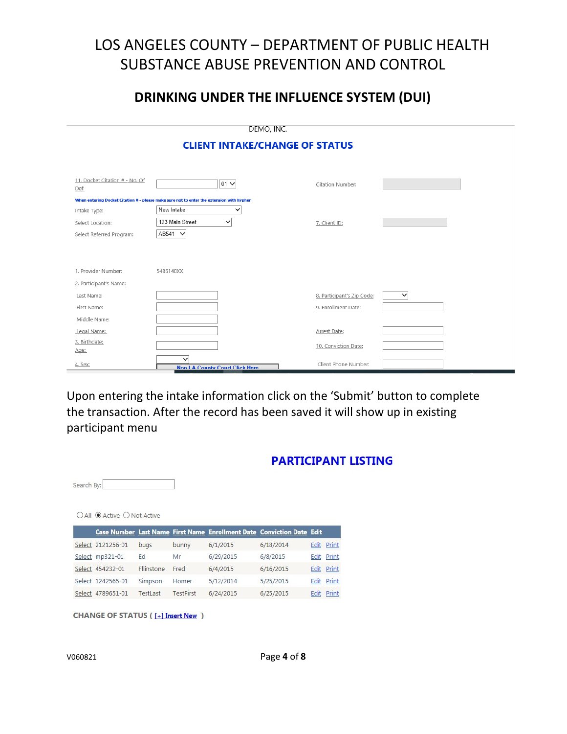### **DRINKING UNDER THE INFLUENCE SYSTEM (DUI)**

| DEMO, INC.                                                                                |                                                       |                            |   |  |  |  |  |  |  |  |  |  |  |  |
|-------------------------------------------------------------------------------------------|-------------------------------------------------------|----------------------------|---|--|--|--|--|--|--|--|--|--|--|--|
| <b>CLIENT INTAKE/CHANGE OF STATUS</b>                                                     |                                                       |                            |   |  |  |  |  |  |  |  |  |  |  |  |
|                                                                                           |                                                       |                            |   |  |  |  |  |  |  |  |  |  |  |  |
| 11. Docket Citation # - No. Of<br>Def:                                                    | $01 -$                                                | Citation Number:           |   |  |  |  |  |  |  |  |  |  |  |  |
| When entering Docket Citation # - please make sure not to enter the extension with hyphen |                                                       |                            |   |  |  |  |  |  |  |  |  |  |  |  |
| Intake Type:                                                                              | New Intake<br>$\checkmark$                            |                            |   |  |  |  |  |  |  |  |  |  |  |  |
| Select Location:                                                                          | 123 Main Street<br>$\checkmark$                       | 7. Client ID:              |   |  |  |  |  |  |  |  |  |  |  |  |
| Select Referred Program:                                                                  | AB541 V                                               |                            |   |  |  |  |  |  |  |  |  |  |  |  |
|                                                                                           |                                                       |                            |   |  |  |  |  |  |  |  |  |  |  |  |
|                                                                                           |                                                       |                            |   |  |  |  |  |  |  |  |  |  |  |  |
| 1. Provider Number:                                                                       | 5486140XX                                             |                            |   |  |  |  |  |  |  |  |  |  |  |  |
| 2. Participant's Name:                                                                    |                                                       |                            |   |  |  |  |  |  |  |  |  |  |  |  |
| Last Name:                                                                                |                                                       | 8. Participant's Zip Code: | ✓ |  |  |  |  |  |  |  |  |  |  |  |
| First Name:                                                                               |                                                       | 9. Enrollment Date:        |   |  |  |  |  |  |  |  |  |  |  |  |
| Middle Name:                                                                              |                                                       |                            |   |  |  |  |  |  |  |  |  |  |  |  |
| Legal Name:                                                                               |                                                       | Arrest Date:               |   |  |  |  |  |  |  |  |  |  |  |  |
| 3. Birthdate:                                                                             |                                                       | 10. Conviction Date:       |   |  |  |  |  |  |  |  |  |  |  |  |
| Age:                                                                                      |                                                       |                            |   |  |  |  |  |  |  |  |  |  |  |  |
| 4. Sex:                                                                                   | $\checkmark$<br><b>Non LA County Court Click Here</b> | Client Phone Number:       |   |  |  |  |  |  |  |  |  |  |  |  |

Upon entering the intake information click on the 'Submit' button to complete the transaction. After the record has been saved it will show up in existing participant menu

|  |  |  | PARTICIPANT LISTING |  |
|--|--|--|---------------------|--|
|  |  |  |                     |  |

| Search By: |                             |                 |                  |                                                                       |           |      |            |
|------------|-----------------------------|-----------------|------------------|-----------------------------------------------------------------------|-----------|------|------------|
|            | ○ All ● Active ○ Not Active |                 |                  |                                                                       |           |      |            |
|            |                             |                 |                  | Case Number Last Name First Name Enrollment Date Conviction Date Edit |           |      |            |
|            | Select 2121256-01           | bugs            | bunny            | 6/1/2015                                                              | 6/18/2014 |      | Edit Print |
|            | Select mp321-01             | Ed              | Mr               | 6/29/2015                                                             | 6/8/2015  | Edit | Print      |
|            | Select 454232-01            | Fllinstone      | Fred             | 6/4/2015                                                              | 6/16/2015 |      | Edit Print |
|            | Select 1242565-01           | Simpson         | Homer            | 5/12/2014                                                             | 5/25/2015 | Edit | Print      |
|            | Select 4789651-01           | <b>TestLast</b> | <b>TestFirst</b> | 6/24/2015                                                             | 6/25/2015 | Edit | Print      |

**CHANGE OF STATUS ([+] Insert New )**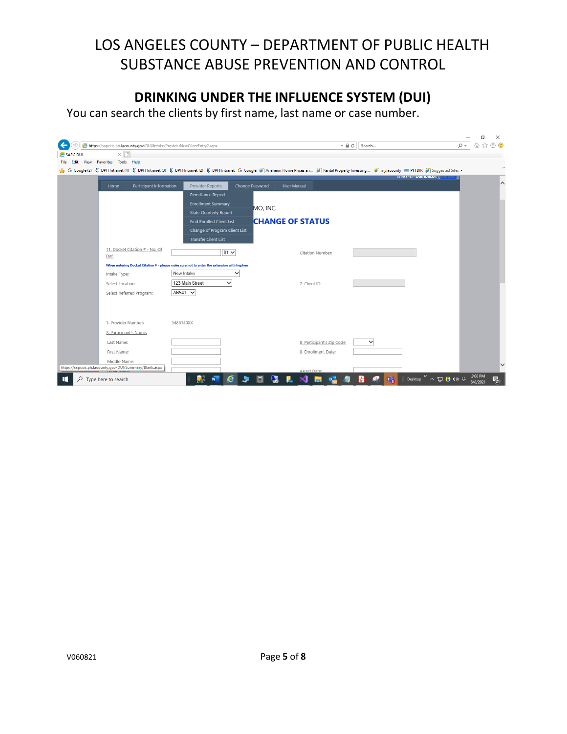## **DRINKING UNDER THE INFLUENCE SYSTEM (DUI)**

You can search the clients by first name, last name or case number.

|          | https://sapccis.ph.lacounty.gov/DUI/Intake/ProviderNewClientEntry2.aspx                                                                                                                                                                  |                                                                                           |                 | $- 0$                      | Search       | $\Omega$ +                 | 价 ☆ 戀 ●       |
|----------|------------------------------------------------------------------------------------------------------------------------------------------------------------------------------------------------------------------------------------------|-------------------------------------------------------------------------------------------|-----------------|----------------------------|--------------|----------------------------|---------------|
| SAPC DUI | $\times$                                                                                                                                                                                                                                 |                                                                                           |                 |                            |              |                            |               |
| File     | Edit View Favorites Tools Help                                                                                                                                                                                                           |                                                                                           |                 |                            |              |                            |               |
|          | G Google (2) 《 DPH Intranet (4) 《 DPH Intranet (3) 《 DPH Intranet (2) 《 DPH Intranet G Google <sup>2</sup> Anaheim Home Prices an <sup>2</sup> Rental Property Investing <sup>2</sup> mylacounty ■ PH DIR <sup>2</sup> Suggested Sites ▼ |                                                                                           |                 |                            |              |                            | $\rightarrow$ |
|          |                                                                                                                                                                                                                                          |                                                                                           |                 |                            |              | <b>Welcome Demouser:</b> [ |               |
|          | Participant Information<br>Home                                                                                                                                                                                                          | Provider Reports                                                                          | Change Password | <b>User Manual</b>         |              |                            | ∧             |
|          |                                                                                                                                                                                                                                          | Remittance Report                                                                         |                 |                            |              |                            |               |
|          |                                                                                                                                                                                                                                          | <b>Enrollment Summary</b>                                                                 | MO, INC.        |                            |              |                            |               |
|          |                                                                                                                                                                                                                                          | <b>State Quarterly Report</b>                                                             |                 |                            |              |                            |               |
|          |                                                                                                                                                                                                                                          | <b>Find Enrolled Client List</b>                                                          |                 | <b>CHANGE OF STATUS</b>    |              |                            |               |
|          |                                                                                                                                                                                                                                          | Change of Program Client List                                                             |                 |                            |              |                            |               |
|          |                                                                                                                                                                                                                                          | <b>Transfer Client List</b>                                                               |                 |                            |              |                            |               |
|          | 11. Docket Citation # - No. Of                                                                                                                                                                                                           | $01 \vee$                                                                                 |                 | Citation Number:           |              |                            |               |
|          | Def:                                                                                                                                                                                                                                     |                                                                                           |                 |                            |              |                            |               |
|          |                                                                                                                                                                                                                                          | When entering Docket Citation # - please make sure not to enter the extension with hyphen |                 |                            |              |                            |               |
|          | Intake Type:                                                                                                                                                                                                                             | New Intake                                                                                | $\checkmark$    |                            |              |                            |               |
|          | Select Location:                                                                                                                                                                                                                         | 123 Main Street<br>$\checkmark$                                                           |                 | 7. Client ID:              |              |                            |               |
|          | Select Referred Program:                                                                                                                                                                                                                 | AB541 V                                                                                   |                 |                            |              |                            |               |
|          |                                                                                                                                                                                                                                          |                                                                                           |                 |                            |              |                            |               |
|          |                                                                                                                                                                                                                                          |                                                                                           |                 |                            |              |                            |               |
|          | 1. Provider Number:                                                                                                                                                                                                                      | 5486140XX                                                                                 |                 |                            |              |                            |               |
|          | 2. Participant's Name:                                                                                                                                                                                                                   |                                                                                           |                 |                            |              |                            |               |
|          |                                                                                                                                                                                                                                          |                                                                                           |                 |                            | $\checkmark$ |                            |               |
|          | Last Name:                                                                                                                                                                                                                               |                                                                                           |                 | 8. Participant's Zip Code: |              |                            |               |
|          | First Name:                                                                                                                                                                                                                              |                                                                                           |                 | 9. Enrollment Date:        |              |                            |               |
|          | Middle Name:<br>https://sapccis.ph.lacounty.gov/DUI/Summary/Blank.aspx                                                                                                                                                                   |                                                                                           |                 |                            |              |                            |               |
|          |                                                                                                                                                                                                                                          |                                                                                           |                 | Arrest Date:               |              | Desktop " へ 口 ● (1) な      | 2:08 PM       |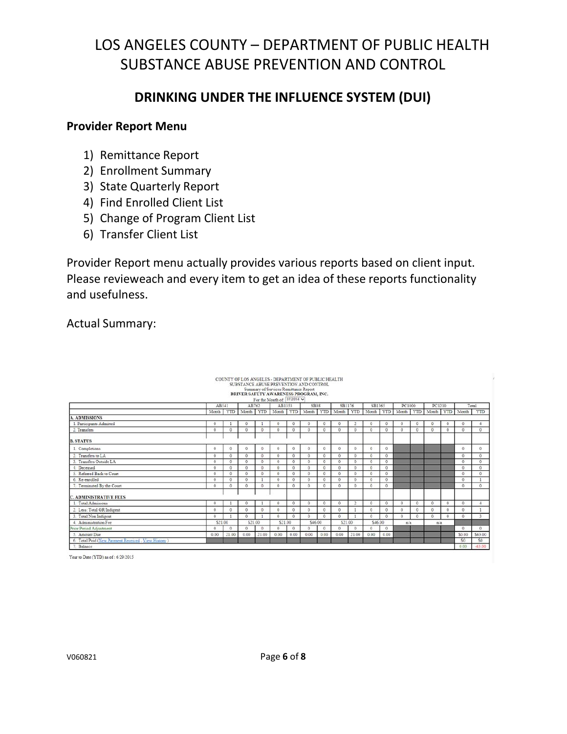## **DRINKING UNDER THE INFLUENCE SYSTEM (DUI)**

### **Provider Report Menu**

- 1) Remittance Report
- 2) Enrollment Summary
- 3) State Quarterly Report
- 4) Find Enrolled Client List
- 5) Change of Program Client List
- 6) Transfer Client List

Provider Report menu actually provides various reports based on client input. Please revieweach and every item to get an idea of these reports functionality and usefulness.

Actual Summary:

|                                                    |                      |                      |                 |              | COUNTY OF LOS ANGELES - DEPARTMENT OF PUBLIC HEALTH<br>SUBSTANCE ABUSE PREVENTION AND CONTROL<br>Summary of Services Remittance Report<br>DRIVER SAFETY AWARENESS PROGRAM, INC.<br>For the Month of: $07/2014$ $\vee$ |                     |              |            |                               |                     |            |              |          |            |           |              |                 |            |
|----------------------------------------------------|----------------------|----------------------|-----------------|--------------|-----------------------------------------------------------------------------------------------------------------------------------------------------------------------------------------------------------------------|---------------------|--------------|------------|-------------------------------|---------------------|------------|--------------|----------|------------|-----------|--------------|-----------------|------------|
|                                                    | AB541                |                      | AB762           |              | AB1353                                                                                                                                                                                                                |                     | SB38         |            | SB1176                        |                     | SB1365     |              | PC1000   |            | PC1210    |              |                 | Total      |
|                                                    | Month                |                      | YTD Month YTD   |              |                                                                                                                                                                                                                       |                     |              |            | Month YTD Month YTD Month YTD |                     | Month YTD  |              | Month    | <b>YTD</b> | Month YTD |              | Month           | <b>YTD</b> |
| <b>A. ADMISSIONS</b>                               |                      |                      |                 |              |                                                                                                                                                                                                                       |                     |              |            |                               |                     |            |              |          |            |           |              |                 |            |
| . Participants Admitted                            | $^{\circ}$           |                      | $^{\circ}$      |              | $\Omega$                                                                                                                                                                                                              | $\circ$             | $\mathbf{0}$ | $^{\circ}$ | $\mathbf{0}$                  |                     | $\circ$    | $^{\circ}$   | $\Omega$ | $\circ$    | $\circ$   | $^{\circ}$   | Λ               |            |
| 2. Transfers                                       | $^{\circ}$           | O                    | $^{0}$          | $\theta$     | $\Omega$                                                                                                                                                                                                              | $\Omega$            | $\circ$      | $\circ$    | $^{\circ}$                    | $\theta$            | $\circ$    | 0            | $\Omega$ | $\sigma$   | $\Omega$  | $\mathbf{0}$ | $\bf{0}$        | $\bf{0}$   |
| <b>B. STATUS</b>                                   |                      |                      |                 |              |                                                                                                                                                                                                                       |                     |              |            |                               |                     |            |              |          |            |           |              |                 |            |
| 1. Completions                                     | $^{\circ}$           | $\Omega$             | $\theta$        | $\Omega$     | $\Omega$                                                                                                                                                                                                              | $\Omega$            | $^{\circ}$   | O.         | $^{\circ}$                    | $\Omega$            | $^{\circ}$ | $\Omega$     |          |            |           |              | $\mathbf{0}$    | $^{\circ}$ |
| 2. Transfers to LA                                 | $^{\circ}$           | $\circ$              | $\theta$        | $\circ$      | $\alpha$                                                                                                                                                                                                              | $\circ$             | $\circ$      | $\alpha$   | $\circ$                       | $\alpha$            | $\circ$    | $^{\circ}$   |          |            |           |              | $\circ$         | $^{\circ}$ |
| 3. Transfers Outside LA                            | $\Omega$             | $\ddot{\phantom{a}}$ | $\ddot{\rm{o}}$ | $\circ$      | Ō.                                                                                                                                                                                                                    | $\ddot{\mathrm{o}}$ | $\Omega$     | $\circ$    | ō                             | Ö.                  | $\circ$    | $\circ$      |          |            |           |              | $\Omega$        | ō          |
| Deceased                                           | $\circ$              | $\circ$              | $\theta$        | $\mathbf{0}$ | $\theta$                                                                                                                                                                                                              | $\Omega$            | $\Omega$     | $\theta$   | $\ddot{\mathbf{0}}$           | $\ddot{\text{o}}$   | $\theta$   | $^{0}$       |          |            |           |              | $\Omega$        | $\Omega$   |
| Referred Back to Court                             | 0                    | $\circ$              | $\theta$        | $\circ$      | $\Omega$                                                                                                                                                                                                              | $\circ$             | $^{\circ}$   | $\Omega$   | $\theta$                      | $\Omega$            | $\circ$    | $\mathbf{0}$ |          |            |           |              | $^{\circ}$      | 0          |
| 6. Re-enrolled                                     | $^{\circ}$           | $\ddot{\rm{o}}$      | ō               |              | Ō.                                                                                                                                                                                                                    | $\alpha$            | $\alpha$     | $\circ$    | o.                            | $\ddot{\mathbf{O}}$ | 0          | $\circ$      |          |            |           |              | $\ddot{\rm{o}}$ |            |
| 7. Terminated By the Court                         | $\Omega$             | $\Delta$             | $\theta$        | $\Omega$     | $\Omega$                                                                                                                                                                                                              | $\ddot{\mathbf{0}}$ | $\Omega$     | O.         | $\Omega$                      | $\theta$            | $\Omega$   | $\circ$      |          |            |           |              | $\Omega$        | $\circ$    |
| <b>C. ADMINISTRATIVE FEES</b>                      |                      |                      |                 |              |                                                                                                                                                                                                                       |                     |              |            |                               |                     |            |              |          |            |           |              |                 |            |
| Total Admissons                                    | $^{\circ}$           |                      | û               |              | $^{\circ}$                                                                                                                                                                                                            | $\Omega$            | $\alpha$     | $\circ$    | $\circ$                       |                     | $\Omega$   | $^{\circ}$   | $\Omega$ | $\Omega$   | $\Omega$  | $\Omega$     | n               |            |
| 2. Less: Total GR/Indigent                         | $\ddot{\phantom{a}}$ | O.                   | ō               | $\theta$     | $\Omega$                                                                                                                                                                                                              | $\circ$             | $\circ$      | $\circ$    | $\ddot{\phantom{1}}$          |                     | $\circ$    | $^{\circ}$   | $\Omega$ | $\Omega$   | $\theta$  | $\Omega$     | $\alpha$        |            |
| 3. Total Non Indigent                              | 0                    |                      | $\theta$        |              | $\Omega$                                                                                                                                                                                                              | $\theta$            | 0            | $\circ$    | $\Omega$                      |                     | $\Omega$   | $^{\circ}$   | $\alpha$ | $\Omega$   | $\Omega$  | $\circ$      | 0               |            |
| 4. Administration Fee                              | \$21.00              |                      | \$21.00         |              | \$21.00                                                                                                                                                                                                               |                     | \$46.00      |            | \$21.00                       |                     | \$46.00    |              | n/a      |            | n/a       |              |                 |            |
| Prior Period Adjustment                            | $\Omega$             | $\Omega$             | $^{\circ}$      | $\theta$     | $\Omega$                                                                                                                                                                                                              | $\Omega$            | $\Omega$     | $\Omega$   | $\Omega$                      | $\theta$            | $\Omega$   | $\Omega$     |          |            |           |              | $\Omega$        | $^{\circ}$ |
| Amount Due<br>ĸ                                    | 0.00                 | 21.00                | 0.00            | 21.00        | 0.00                                                                                                                                                                                                                  | 0.00                | 0.00         | 0.00       | 0.00                          | 21.00               | 0.00       | 0.00         |          |            |           |              | \$0.00          | \$63.00    |
| 6. Total Paid (New Payment Received, View History) |                      |                      |                 |              |                                                                                                                                                                                                                       |                     |              |            |                               |                     |            |              |          |            |           |              | \$0             | \$0        |
| 7. Balance                                         |                      |                      |                 |              |                                                                                                                                                                                                                       |                     |              |            |                               |                     |            |              |          |            |           |              | 0.00            | $-63.00$   |

Year to Date (YTD) as of: 6/29/2015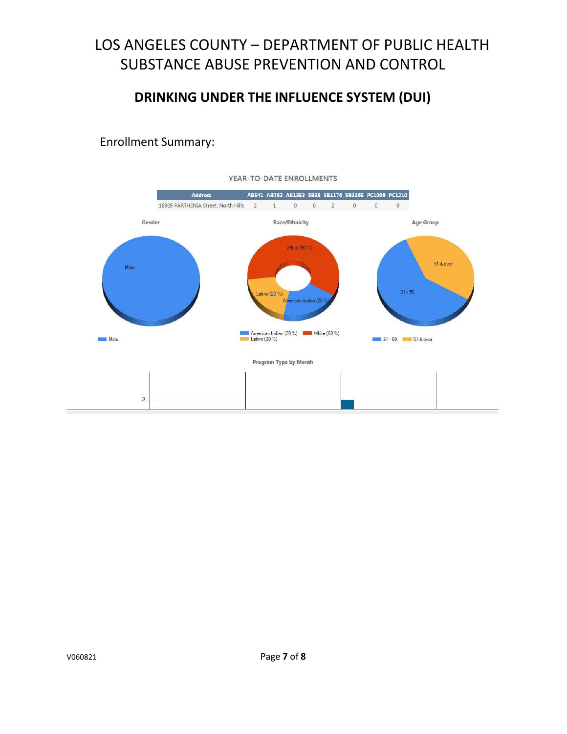### **DRINKING UNDER THE INFLUENCE SYSTEM (DUI)**

Enrollment Summary:

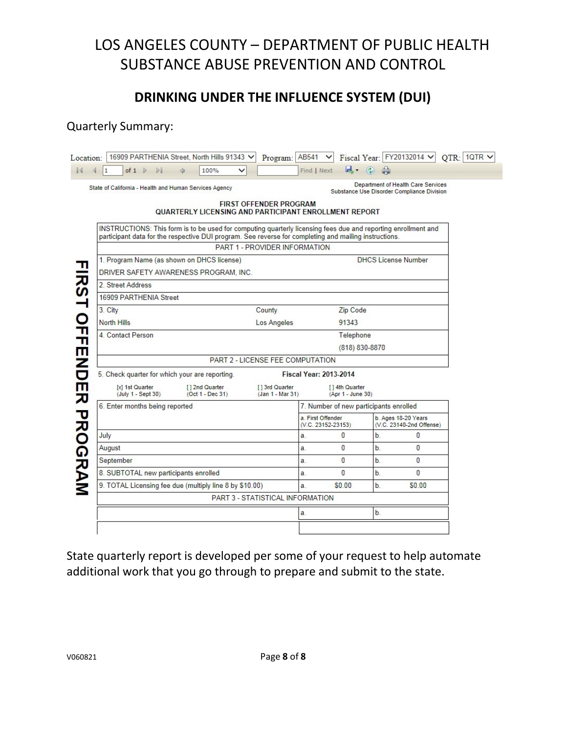### **DRINKING UNDER THE INFLUENCE SYSTEM (DUI)**

### Quarterly Summary:

| Location:                       |                                                                                                                                                                                                                                                                                 | 16909 PARTHENIA Street, North Hills 91343 V | Program: AB541                      |                                         | $\checkmark$                           |      | Fiscal Year: FY20132014 V                                                        | $QTR: 1QTR \nabla$ |  |  |  |  |
|---------------------------------|---------------------------------------------------------------------------------------------------------------------------------------------------------------------------------------------------------------------------------------------------------------------------------|---------------------------------------------|-------------------------------------|-----------------------------------------|----------------------------------------|------|----------------------------------------------------------------------------------|--------------------|--|--|--|--|
| $\mathbb{I}$                    | of $1 \quad \triangleright \quad \triangleright$<br>1                                                                                                                                                                                                                           | 4<br>100%<br>◡                              |                                     | Find   Next                             |                                        | 風 ②曲 |                                                                                  |                    |  |  |  |  |
|                                 | State of California - Health and Human Services Agency                                                                                                                                                                                                                          |                                             | <b>FIRST OFFENDER PROGRAM</b>       |                                         |                                        |      | Department of Health Care Services<br>Substance Use Disorder Compliance Division |                    |  |  |  |  |
|                                 | QUARTERLY LICENSING AND PARTICIPANT ENROLLMENT REPORT<br>INSTRUCTIONS: This form is to be used for computing quarterly licensing fees due and reporting enrollment and<br>participant data for the respective DUI program. See reverse for completing and mailing instructions. |                                             |                                     |                                         |                                        |      |                                                                                  |                    |  |  |  |  |
|                                 |                                                                                                                                                                                                                                                                                 |                                             | PART 1 - PROVIDER INFORMATION       |                                         |                                        |      |                                                                                  |                    |  |  |  |  |
|                                 | 1. Program Name (as shown on DHCS license)                                                                                                                                                                                                                                      |                                             |                                     |                                         |                                        |      | <b>DHCS License Number</b>                                                       |                    |  |  |  |  |
|                                 | DRIVER SAFETY AWARENESS PROGRAM, INC.                                                                                                                                                                                                                                           |                                             |                                     |                                         |                                        |      |                                                                                  |                    |  |  |  |  |
|                                 | 2. Street Address                                                                                                                                                                                                                                                               |                                             |                                     |                                         |                                        |      |                                                                                  |                    |  |  |  |  |
|                                 | 16909 PARTHENIA Street                                                                                                                                                                                                                                                          |                                             |                                     |                                         |                                        |      |                                                                                  |                    |  |  |  |  |
|                                 | 3. City                                                                                                                                                                                                                                                                         |                                             | County                              |                                         | Zip Code                               |      |                                                                                  |                    |  |  |  |  |
|                                 | North Hills                                                                                                                                                                                                                                                                     |                                             | Los Angeles                         | 91343                                   |                                        |      |                                                                                  |                    |  |  |  |  |
|                                 | 4. Contact Person                                                                                                                                                                                                                                                               |                                             |                                     | Telephone                               |                                        |      |                                                                                  |                    |  |  |  |  |
|                                 |                                                                                                                                                                                                                                                                                 |                                             |                                     |                                         | (818) 830-8870                         |      |                                                                                  |                    |  |  |  |  |
|                                 |                                                                                                                                                                                                                                                                                 |                                             | PART 2 - LICENSE FEE COMPUTATION    |                                         |                                        |      |                                                                                  |                    |  |  |  |  |
|                                 | 5. Check quarter for which your are reporting.                                                                                                                                                                                                                                  |                                             |                                     | <b>Fiscal Year: 2013-2014</b>           |                                        |      |                                                                                  |                    |  |  |  |  |
|                                 | [x] 1st Quarter<br>(July 1 - Sept 30)                                                                                                                                                                                                                                           | [12nd Quarter<br>(Oct 1 - Dec 31)           | [ ] 3rd Quarter<br>(Jan 1 - Mar 31) |                                         | [14th Quarter<br>(Apr 1 - June 30)     |      |                                                                                  |                    |  |  |  |  |
|                                 | 6. Enter months being reported                                                                                                                                                                                                                                                  |                                             |                                     |                                         | 7. Number of new participants enrolled |      |                                                                                  |                    |  |  |  |  |
| <b>TIRSH OFFIENDER PROGRAMM</b> |                                                                                                                                                                                                                                                                                 |                                             |                                     | a. First Offender<br>(V.C. 23152-23153) |                                        |      | b. Ages 18-20 Years<br>(V.C. 23140-2nd Offense)                                  |                    |  |  |  |  |
|                                 | July                                                                                                                                                                                                                                                                            |                                             |                                     | a.                                      | 0                                      | b.   | $\mathbf{0}$                                                                     |                    |  |  |  |  |
|                                 | August                                                                                                                                                                                                                                                                          |                                             |                                     | a.                                      | 0                                      | b.   | $\overline{0}$                                                                   |                    |  |  |  |  |
|                                 | September                                                                                                                                                                                                                                                                       |                                             |                                     | a.                                      | 0                                      | b.   | $\bf{0}$                                                                         |                    |  |  |  |  |
|                                 | 8. SUBTOTAL new participants enrolled                                                                                                                                                                                                                                           |                                             |                                     | a.                                      | 0                                      | b.   | $\overline{0}$                                                                   |                    |  |  |  |  |
|                                 | 9. TOTAL Licensing fee due (multiply line 8 by \$10.00)                                                                                                                                                                                                                         |                                             |                                     | a.                                      | \$0.00                                 | b.   | \$0.00                                                                           |                    |  |  |  |  |
|                                 |                                                                                                                                                                                                                                                                                 |                                             | PART 3 - STATISTICAL INFORMATION    |                                         |                                        |      |                                                                                  |                    |  |  |  |  |
|                                 |                                                                                                                                                                                                                                                                                 |                                             |                                     | a.                                      |                                        | b.   |                                                                                  |                    |  |  |  |  |
|                                 |                                                                                                                                                                                                                                                                                 |                                             |                                     |                                         |                                        |      |                                                                                  |                    |  |  |  |  |

State quarterly report is developed per some of your request to help automate additional work that you go through to prepare and submit to the state.